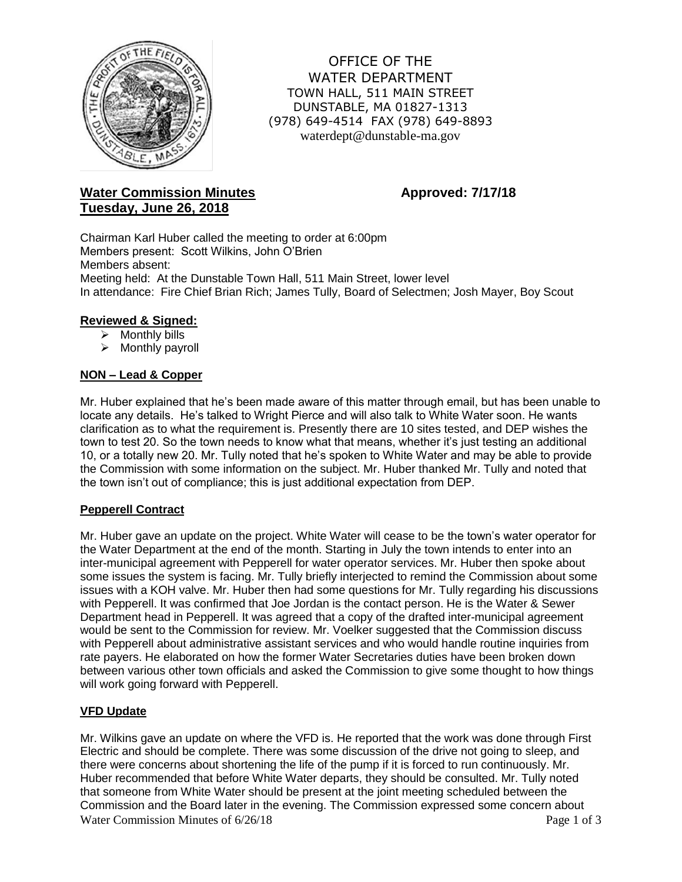

OFFICE OF THE WATER DEPARTMENT TOWN HALL, 511 MAIN STREET DUNSTABLE, MA 01827-1313 (978) 649-4514 FAX (978) 649-8893 waterdept@dunstable-ma.gov

# **Water Commission Minutes <b>Approved:** 7/17/18 **Tuesday, June 26, 2018**

Chairman Karl Huber called the meeting to order at 6:00pm Members present: Scott Wilkins, John O'Brien Members absent: Meeting held: At the Dunstable Town Hall, 511 Main Street, lower level In attendance: Fire Chief Brian Rich; James Tully, Board of Selectmen; Josh Mayer, Boy Scout

# **Reviewed & Signed:**

- $\triangleright$  Monthly bills
- $\triangleright$  Monthly payroll

# **NON – Lead & Copper**

Mr. Huber explained that he's been made aware of this matter through email, but has been unable to locate any details. He's talked to Wright Pierce and will also talk to White Water soon. He wants clarification as to what the requirement is. Presently there are 10 sites tested, and DEP wishes the town to test 20. So the town needs to know what that means, whether it's just testing an additional 10, or a totally new 20. Mr. Tully noted that he's spoken to White Water and may be able to provide the Commission with some information on the subject. Mr. Huber thanked Mr. Tully and noted that the town isn't out of compliance; this is just additional expectation from DEP.

# **Pepperell Contract**

Mr. Huber gave an update on the project. White Water will cease to be the town's water operator for the Water Department at the end of the month. Starting in July the town intends to enter into an inter-municipal agreement with Pepperell for water operator services. Mr. Huber then spoke about some issues the system is facing. Mr. Tully briefly interjected to remind the Commission about some issues with a KOH valve. Mr. Huber then had some questions for Mr. Tully regarding his discussions with Pepperell. It was confirmed that Joe Jordan is the contact person. He is the Water & Sewer Department head in Pepperell. It was agreed that a copy of the drafted inter-municipal agreement would be sent to the Commission for review. Mr. Voelker suggested that the Commission discuss with Pepperell about administrative assistant services and who would handle routine inquiries from rate payers. He elaborated on how the former Water Secretaries duties have been broken down between various other town officials and asked the Commission to give some thought to how things will work going forward with Pepperell.

# **VFD Update**

Water Commission Minutes of  $6/26/18$  Page 1 of 3 Mr. Wilkins gave an update on where the VFD is. He reported that the work was done through First Electric and should be complete. There was some discussion of the drive not going to sleep, and there were concerns about shortening the life of the pump if it is forced to run continuously. Mr. Huber recommended that before White Water departs, they should be consulted. Mr. Tully noted that someone from White Water should be present at the joint meeting scheduled between the Commission and the Board later in the evening. The Commission expressed some concern about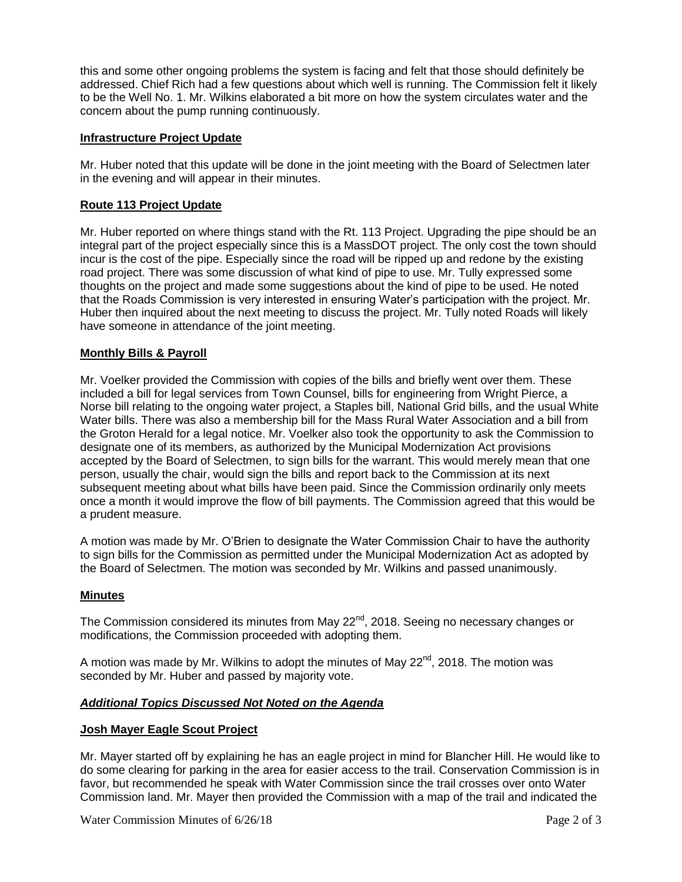this and some other ongoing problems the system is facing and felt that those should definitely be addressed. Chief Rich had a few questions about which well is running. The Commission felt it likely to be the Well No. 1. Mr. Wilkins elaborated a bit more on how the system circulates water and the concern about the pump running continuously.

### **Infrastructure Project Update**

Mr. Huber noted that this update will be done in the joint meeting with the Board of Selectmen later in the evening and will appear in their minutes.

## **Route 113 Project Update**

Mr. Huber reported on where things stand with the Rt. 113 Project. Upgrading the pipe should be an integral part of the project especially since this is a MassDOT project. The only cost the town should incur is the cost of the pipe. Especially since the road will be ripped up and redone by the existing road project. There was some discussion of what kind of pipe to use. Mr. Tully expressed some thoughts on the project and made some suggestions about the kind of pipe to be used. He noted that the Roads Commission is very interested in ensuring Water's participation with the project. Mr. Huber then inquired about the next meeting to discuss the project. Mr. Tully noted Roads will likely have someone in attendance of the joint meeting.

### **Monthly Bills & Payroll**

Mr. Voelker provided the Commission with copies of the bills and briefly went over them. These included a bill for legal services from Town Counsel, bills for engineering from Wright Pierce, a Norse bill relating to the ongoing water project, a Staples bill, National Grid bills, and the usual White Water bills. There was also a membership bill for the Mass Rural Water Association and a bill from the Groton Herald for a legal notice. Mr. Voelker also took the opportunity to ask the Commission to designate one of its members, as authorized by the Municipal Modernization Act provisions accepted by the Board of Selectmen, to sign bills for the warrant. This would merely mean that one person, usually the chair, would sign the bills and report back to the Commission at its next subsequent meeting about what bills have been paid. Since the Commission ordinarily only meets once a month it would improve the flow of bill payments. The Commission agreed that this would be a prudent measure.

A motion was made by Mr. O'Brien to designate the Water Commission Chair to have the authority to sign bills for the Commission as permitted under the Municipal Modernization Act as adopted by the Board of Selectmen. The motion was seconded by Mr. Wilkins and passed unanimously.

#### **Minutes**

The Commission considered its minutes from May 22<sup>nd</sup>, 2018. Seeing no necessary changes or modifications, the Commission proceeded with adopting them.

A motion was made by Mr. Wilkins to adopt the minutes of May  $22^{nd}$ , 2018. The motion was seconded by Mr. Huber and passed by majority vote.

#### *Additional Topics Discussed Not Noted on the Agenda*

#### **Josh Mayer Eagle Scout Project**

Mr. Mayer started off by explaining he has an eagle project in mind for Blancher Hill. He would like to do some clearing for parking in the area for easier access to the trail. Conservation Commission is in favor, but recommended he speak with Water Commission since the trail crosses over onto Water Commission land. Mr. Mayer then provided the Commission with a map of the trail and indicated the